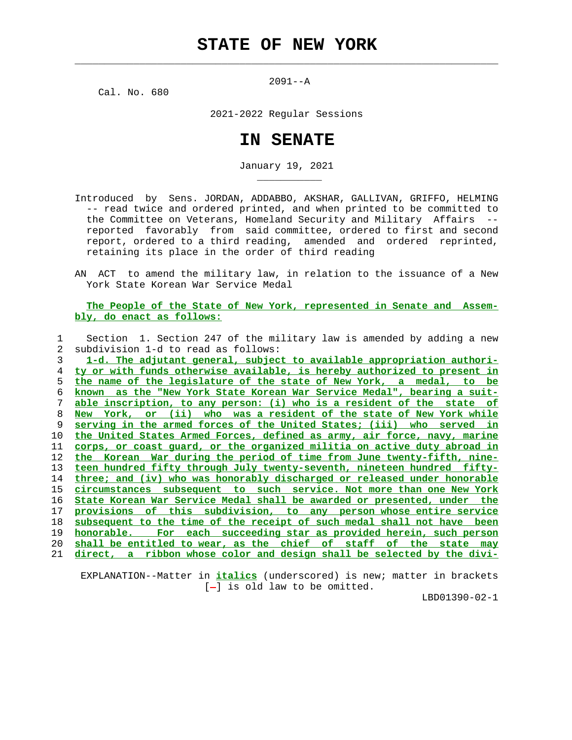$\mathcal{L}_\text{max} = \frac{1}{2} \sum_{i=1}^{n} \frac{1}{2} \sum_{i=1}^{n} \frac{1}{2} \sum_{i=1}^{n} \frac{1}{2} \sum_{i=1}^{n} \frac{1}{2} \sum_{i=1}^{n} \frac{1}{2} \sum_{i=1}^{n} \frac{1}{2} \sum_{i=1}^{n} \frac{1}{2} \sum_{i=1}^{n} \frac{1}{2} \sum_{i=1}^{n} \frac{1}{2} \sum_{i=1}^{n} \frac{1}{2} \sum_{i=1}^{n} \frac{1}{2} \sum_{i=1}^{n} \frac{1$ 

2091--A

Cal. No. 680

\_\_\_\_\_\_\_\_\_\_\_

2021-2022 Regular Sessions

## **IN SENATE**

January 19, 2021

- Introduced by Sens. JORDAN, ADDABBO, AKSHAR, GALLIVAN, GRIFFO, HELMING -- read twice and ordered printed, and when printed to be committed to the Committee on Veterans, Homeland Security and Military Affairs - reported favorably from said committee, ordered to first and second report, ordered to a third reading, amended and ordered reprinted, retaining its place in the order of third reading
- AN ACT to amend the military law, in relation to the issuance of a New York State Korean War Service Medal

 **The People of the State of New York, represented in Senate and Assem bly, do enact as follows:**

|                | Section 1. Section 247 of the military law is amended by adding a new    |
|----------------|--------------------------------------------------------------------------|
| $\overline{2}$ | subdivision 1-d to read as follows:                                      |
| 3              | 1-d. The adjutant general, subject to available appropriation authori-   |
| 4              | ty or with funds otherwise available, is hereby authorized to present in |
| 5              | the name of the legislature of the state of New York, a medal, to be     |
| 6              | known as the "New York State Korean War Service Medal", bearing a suit-  |
| 7              | able inscription, to any person: (i) who is a resident of the state of   |
| 8              | New York, or (ii) who was a resident of the state of New York while      |
| 9              | serving in the armed forces of the United States; (iii) who served in    |
| 10             | the United States Armed Forces, defined as army, air force, navy, marine |
| 11             | corps, or coast quard, or the organized militia on active duty abroad in |
| 12             | the Korean War during the period of time from June twenty-fifth, nine-   |
| 13             | teen hundred fifty through July twenty-seventh, nineteen hundred fifty-  |
| 14             | three; and (iv) who was honorably discharged or released under honorable |
| 15             | circumstances subsequent to such service. Not more than one New York     |
| 16             | State Korean War Service Medal shall be awarded or presented, under the  |
| 17             | provisions of this subdivision, to any person-whose-entire-service       |
| 18             | subsequent to the time of the receipt of such medal shall not have been  |
| 19             | For each succeeding star as provided herein, such person<br>honorable.   |
| 20             | shall be entitled to wear, as the chief of staff of the state may        |
| 21             | direct, a ribbon whose color and design shall be selected by the divi-   |
|                |                                                                          |

 EXPLANATION--Matter in **italics** (underscored) is new; matter in brackets  $[-]$  is old law to be omitted.

LBD01390-02-1